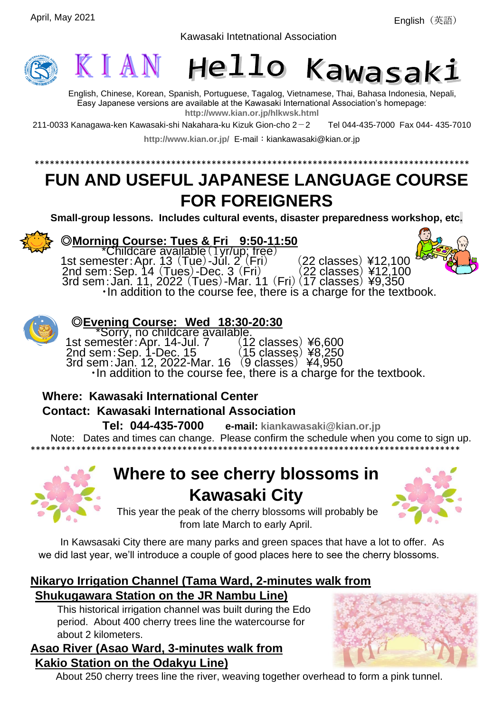English(英語)





English, Chinese, Korean, Spanish, Portuguese, Tagalog, Vietnamese, Thai, Bahasa Indonesia, Nepali, Easy Japanese versions are available at the Kawasaki International Association's homepage: **<http://www.kian.or.jp/hlkwsk.html>**

\*\*\*\*\*\*\*\*\*\*\*\*\*\*\*\*\*\*\*\*\*\*\*\*\*\*\*\*\*\*\*\*\*\*\*\*\*\*\*\*\*\*\*\*\*\*\*\*\*\*\*\*\*\*\*\*\*\*\*\*\*\*\*\*\*\*\*\*\*\*\*\*\*\*\*\*\*\*\*\*\*\*\*\*\*\*

Kawasaki Intetnational Association

211-0033 Kanagawa-ken Kawasaki-shi Nakahara-ku Kizuk Gion-cho  $2-2$  Tel 044-435-7000 Fax 044-435-7010

<http://www.kian.or.jp/> E-mail: kiankawasaki@kian.or.jp

# **FUN AND USEFUL JAPANESE LANGUAGE COURSE FOR FOREIGNERS**

**Small-group lessons. Includes cultural events, disaster preparedness workshop, etc.**



## ◎**Morning Course: Tues & Fri 9:50-11:50**

\*Childcare available(1yr/up; free) 1st semester:Apr. 13  $(Tue)$ -Jul. 2  $(Fri)$  (22 classes) ¥12,100 2nd sem: Sep. 14 (Tues)-Dec. 3 (Fri) (22 classes) ¥12,100 3rd sem:Jan. 11, 2022 (Tues)-Mar. 11 (Fri)(17 classes) ¥9,350 ・In addition to the course fee, there is a charge for the textbook.



### ◎**Evening Course: Wed 18:30-20:30**

Sorry, no childcare available.<br>nester:Apr. 14-Jul. 7 (12 classes)¥6,600 1st semester: Apr. 14-Jul. 7 2nd sem:Sep. 1-Dec. 15 (15 classes) ¥8,250 3rd sem:Jan. 12, 2022-Mar. 16 (9 classes) ¥4,950 ・In addition to the course fee, there is a charge for the textbook.

## **Where: Kawasaki International Center Contact: Kawasaki International Association**

 **Tel: 044-435-7000 e-mail: [kiankawasaki@kian.or.jp](mailto:kiankawasaki@kian.or.jp)** Note: Dates and times can change. Please confirm the schedule when you come to sign up. \*\*\*\*\*\*\*\*\*\*\*\*\*\*\*\*\*\*\*\*\*\*\*\*\*\*\*\*\*\*\*\*\*\*\*\*\*\*\*\*\*\*\*\*\*\*\*\*\*\*\*\*\*\*\*\*\*\*\*\*\*\*\*\*\*\*\*\*\*\*\*\*\*\*\*\*\*\*\*\*\*\*\*\*\*



## **Where to see cherry blossoms in Kawasaki City**



This year the peak of the cherry blossoms will probably be from late March to early April.

In Kawsasaki City there are many parks and green spaces that have a lot to offer. As we did last year, we'll introduce a couple of good places here to see the cherry blossoms.

## **Nikaryo Irrigation Channel (Tama Ward, 2-minutes walk from Shukugawara Station on the JR Nambu Line)**

This historical irrigation channel was built during the Edo period. About 400 cherry trees line the watercourse for about 2 kilometers.

### **Asao River (Asao Ward, 3-minutes walk from Kakio Station on the Odakyu Line)**

About 250 cherry trees line the river, weaving together overhead to form a pink tunnel.